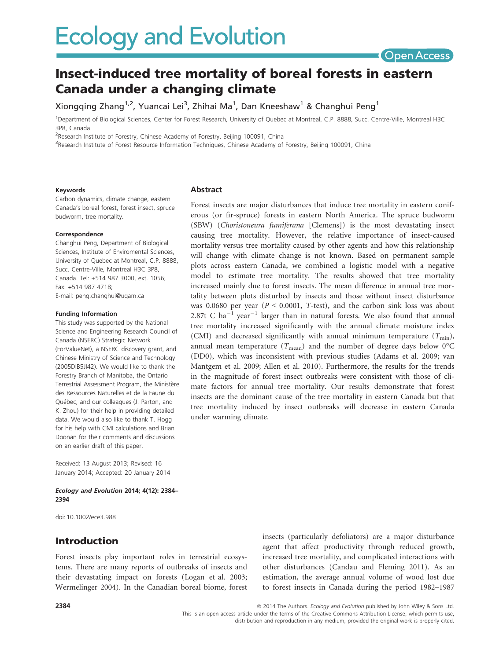

# Insect-induced tree mortality of boreal forests in eastern Canada under a changing climate

Xiongqing Zhang $^{1,2}$ , Yuancai Lei $^3$ , Zhihai Ma $^1$ , Dan Kneeshaw $^1$  & Changhui Peng $^1$ 

1 Department of Biological Sciences, Center for Forest Research, University of Quebec at Montreal, C.P. 8888, Succ. Centre-Ville, Montreal H3C 3P8, Canada

<sup>2</sup>Research Institute of Forestry, Chinese Academy of Forestry, Beijing 100091, China

<sup>3</sup>Research Institute of Forest Resource Information Techniques, Chinese Academy of Forestry, Beijing 100091, China

#### Keywords

Carbon dynamics, climate change, eastern Canada's boreal forest, forest insect, spruce budworm, tree mortality.

#### Correspondence

Changhui Peng, Department of Biological Sciences, Institute of Enviromental Sciences, University of Quebec at Montreal, C.P. 8888, Succ. Centre-Ville, Montreal H3C 3P8, Canada. Tel: +514 987 3000, ext. 1056; Fax: +514 987 4718; E-mail: peng.changhui@uqam.ca

#### Funding Information

This study was supported by the National Science and Engineering Research Council of Canada (NSERC) Strategic Network (ForValueNet), a NSERC discovery grant, and Chinese Ministry of Science and Technology (2005DIB5JI42). We would like to thank the Forestry Branch of Manitoba, the Ontario Terrestrial Assessment Program, the Ministère des Ressources Naturelles et de la Faune du Québec, and our colleagues (J. Parton, and K. Zhou) for their help in providing detailed data. We would also like to thank T. Hogg for his help with CMI calculations and Brian Doonan for their comments and discussions on an earlier draft of this paper.

Received: 13 August 2013; Revised: 16 January 2014; Accepted: 20 January 2014

Ecology and Evolution 2014; 4(12): 2384– 2394

doi: 10.1002/ece3.988

### Introduction

Forest insects play important roles in terrestrial ecosystems. There are many reports of outbreaks of insects and their devastating impact on forests (Logan et al. 2003; Wermelinger 2004). In the Canadian boreal biome, forest insects (particularly defoliators) are a major disturbance agent that affect productivity through reduced growth, increased tree mortality, and complicated interactions with other disturbances (Candau and Fleming 2011). As an estimation, the average annual volume of wood lost due to forest insects in Canada during the period 1982–1987

#### Abstract

Forest insects are major disturbances that induce tree mortality in eastern coniferous (or fir-spruce) forests in eastern North America. The spruce budworm (SBW) (Choristoneura fumiferana [Clemens]) is the most devastating insect causing tree mortality. However, the relative importance of insect-caused mortality versus tree mortality caused by other agents and how this relationship will change with climate change is not known. Based on permanent sample plots across eastern Canada, we combined a logistic model with a negative model to estimate tree mortality. The results showed that tree mortality increased mainly due to forest insects. The mean difference in annual tree mortality between plots disturbed by insects and those without insect disturbance was 0.0680 per year ( $P < 0.0001$ , T-test), and the carbon sink loss was about 2.87t C ha<sup>-1</sup> year<sup>-1</sup> larger than in natural forests. We also found that annual tree mortality increased significantly with the annual climate moisture index (CMI) and decreased significantly with annual minimum temperature  $(T_{\text{min}})$ , annual mean temperature ( $T_{\text{mean}}$ ) and the number of degree days below 0°C (DD0), which was inconsistent with previous studies (Adams et al. 2009; van Mantgem et al. 2009; Allen et al. 2010). Furthermore, the results for the trends in the magnitude of forest insect outbreaks were consistent with those of climate factors for annual tree mortality. Our results demonstrate that forest insects are the dominant cause of the tree mortality in eastern Canada but that tree mortality induced by insect outbreaks will decrease in eastern Canada under warming climate.

distribution and reproduction in any medium, provided the original work is properly cited.

<sup>2384 2384</sup> **2384 2014** The Authors. Ecology and Evolution published by John Wiley & Sons Ltd. This is an open access article under the terms of the Creative Commons Attribution License, which permits use,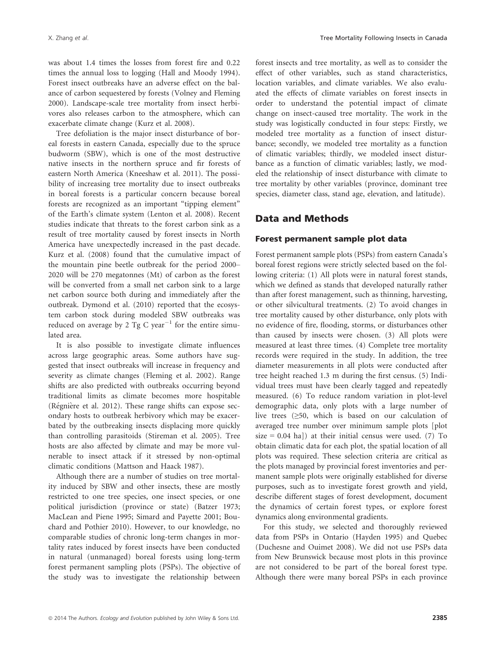was about 1.4 times the losses from forest fire and 0.22 times the annual loss to logging (Hall and Moody 1994). Forest insect outbreaks have an adverse effect on the balance of carbon sequestered by forests (Volney and Fleming 2000). Landscape-scale tree mortality from insect herbivores also releases carbon to the atmosphere, which can exacerbate climate change (Kurz et al. 2008).

Tree defoliation is the major insect disturbance of boreal forests in eastern Canada, especially due to the spruce budworm (SBW), which is one of the most destructive native insects in the northern spruce and fir forests of eastern North America (Kneeshaw et al. 2011). The possibility of increasing tree mortality due to insect outbreaks in boreal forests is a particular concern because boreal forests are recognized as an important "tipping element" of the Earth's climate system (Lenton et al. 2008). Recent studies indicate that threats to the forest carbon sink as a result of tree mortality caused by forest insects in North America have unexpectedly increased in the past decade. Kurz et al. (2008) found that the cumulative impact of the mountain pine beetle outbreak for the period 2000– 2020 will be 270 megatonnes (Mt) of carbon as the forest will be converted from a small net carbon sink to a large net carbon source both during and immediately after the outbreak. Dymond et al. (2010) reported that the ecosystem carbon stock during modeled SBW outbreaks was reduced on average by 2 Tg C year<sup>-1</sup> for the entire simulated area.

It is also possible to investigate climate influences across large geographic areas. Some authors have suggested that insect outbreaks will increase in frequency and severity as climate changes (Fleming et al. 2002). Range shifts are also predicted with outbreaks occurring beyond traditional limits as climate becomes more hospitable (Régnière et al. 2012). These range shifts can expose secondary hosts to outbreak herbivory which may be exacerbated by the outbreaking insects displacing more quickly than controlling parasitoids (Stireman et al. 2005). Tree hosts are also affected by climate and may be more vulnerable to insect attack if it stressed by non-optimal climatic conditions (Mattson and Haack 1987).

Although there are a number of studies on tree mortality induced by SBW and other insects, these are mostly restricted to one tree species, one insect species, or one political jurisdiction (province or state) (Batzer 1973; MacLean and Piene 1995; Simard and Payette 2001; Bouchard and Pothier 2010). However, to our knowledge, no comparable studies of chronic long-term changes in mortality rates induced by forest insects have been conducted in natural (unmanaged) boreal forests using long-term forest permanent sampling plots (PSPs). The objective of the study was to investigate the relationship between forest insects and tree mortality, as well as to consider the effect of other variables, such as stand characteristics, location variables, and climate variables. We also evaluated the effects of climate variables on forest insects in order to understand the potential impact of climate change on insect-caused tree mortality. The work in the study was logistically conducted in four steps: Firstly, we modeled tree mortality as a function of insect disturbance; secondly, we modeled tree mortality as a function of climatic variables; thirdly, we modeled insect disturbance as a function of climatic variables; lastly, we modeled the relationship of insect disturbance with climate to tree mortality by other variables (province, dominant tree species, diameter class, stand age, elevation, and latitude).

### Data and Methods

#### Forest permanent sample plot data

Forest permanent sample plots (PSPs) from eastern Canada's boreal forest regions were strictly selected based on the following criteria: (1) All plots were in natural forest stands, which we defined as stands that developed naturally rather than after forest management, such as thinning, harvesting, or other silvicultural treatments. (2) To avoid changes in tree mortality caused by other disturbance, only plots with no evidence of fire, flooding, storms, or disturbances other than caused by insects were chosen. (3) All plots were measured at least three times. (4) Complete tree mortality records were required in the study. In addition, the tree diameter measurements in all plots were conducted after tree height reached 1.3 m during the first census. (5) Individual trees must have been clearly tagged and repeatedly measured. (6) To reduce random variation in plot-level demographic data, only plots with a large number of live trees (≥50, which is based on our calculation of averaged tree number over minimum sample plots [plot size =  $0.04$  ha]) at their initial census were used. (7) To obtain climatic data for each plot, the spatial location of all plots was required. These selection criteria are critical as the plots managed by provincial forest inventories and permanent sample plots were originally established for diverse purposes, such as to investigate forest growth and yield, describe different stages of forest development, document the dynamics of certain forest types, or explore forest dynamics along environmental gradients.

For this study, we selected and thoroughly reviewed data from PSPs in Ontario (Hayden 1995) and Quebec (Duchesne and Ouimet 2008). We did not use PSPs data from New Brunswick because most plots in this province are not considered to be part of the boreal forest type. Although there were many boreal PSPs in each province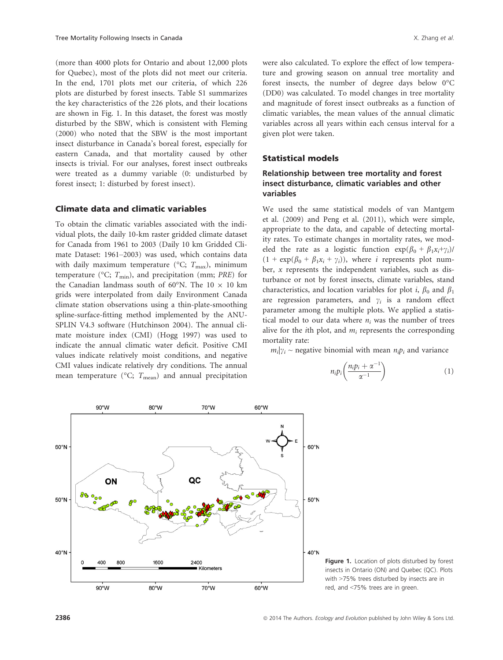(more than 4000 plots for Ontario and about 12,000 plots for Quebec), most of the plots did not meet our criteria. In the end, 1701 plots met our criteria, of which 226 plots are disturbed by forest insects. Table S1 summarizes the key characteristics of the 226 plots, and their locations are shown in Fig. 1. In this dataset, the forest was mostly disturbed by the SBW, which is consistent with Fleming (2000) who noted that the SBW is the most important insect disturbance in Canada's boreal forest, especially for eastern Canada, and that mortality caused by other insects is trivial. For our analyses, forest insect outbreaks were treated as a dummy variable (0: undisturbed by forest insect; 1: disturbed by forest insect).

#### Climate data and climatic variables

To obtain the climatic variables associated with the individual plots, the daily 10-km raster gridded climate dataset for Canada from 1961 to 2003 (Daily 10 km Gridded Climate Dataset: 1961–2003) was used, which contains data with daily maximum temperature ( ${}^{\circ}C$ ;  $T_{\text{max}}$ ), minimum temperature ( ${}^{\circ}C$ ;  $T_{\text{min}}$ ), and precipitation (mm; PRE) for the Canadian landmass south of 60°N. The  $10 \times 10$  km grids were interpolated from daily Environment Canada climate station observations using a thin-plate-smoothing spline-surface-fitting method implemented by the ANU-SPLIN V4.3 software (Hutchinson 2004). The annual climate moisture index (CMI) (Hogg 1997) was used to indicate the annual climatic water deficit. Positive CMI values indicate relatively moist conditions, and negative CMI values indicate relatively dry conditions. The annual mean temperature ( ${}^{\circ}C$ ;  $T_{\text{mean}}$ ) and annual precipitation were also calculated. To explore the effect of low temperature and growing season on annual tree mortality and forest insects, the number of degree days below 0°C (DD0) was calculated. To model changes in tree mortality and magnitude of forest insect outbreaks as a function of climatic variables, the mean values of the annual climatic variables across all years within each census interval for a given plot were taken.

#### Statistical models

### Relationship between tree mortality and forest insect disturbance, climatic variables and other variables

We used the same statistical models of van Mantgem et al. (2009) and Peng et al. (2011), which were simple, appropriate to the data, and capable of detecting mortality rates. To estimate changes in mortality rates, we modeled the rate as a logistic function  $exp(\beta_0 + \beta_1 x_i + \gamma_i)$  $(1 + \exp(\beta_0 + \beta_1 x_i + \gamma_i))$ , where *i* represents plot number, x represents the independent variables, such as disturbance or not by forest insects, climate variables, stand characteristics, and location variables for plot *i*,  $\beta_0$  and  $\beta_1$ are regression parameters, and  $\gamma_i$  is a random effect parameter among the multiple plots. We applied a statistical model to our data where  $n_i$  was the number of trees alive for the *i*th plot, and  $m_i$  represents the corresponding mortality rate:

 $m_i|\gamma_i \sim$  negative binomial with mean  $n_i p_i$  and variance

$$
n_i p_i \left( \frac{n_i p_i + \alpha^{-1}}{\alpha^{-1}} \right) \tag{1}
$$



Figure 1. Location of plots disturbed by forest insects in Ontario (ON) and Quebec (QC). Plots with >75% trees disturbed by insects are in red, and <75% trees are in green.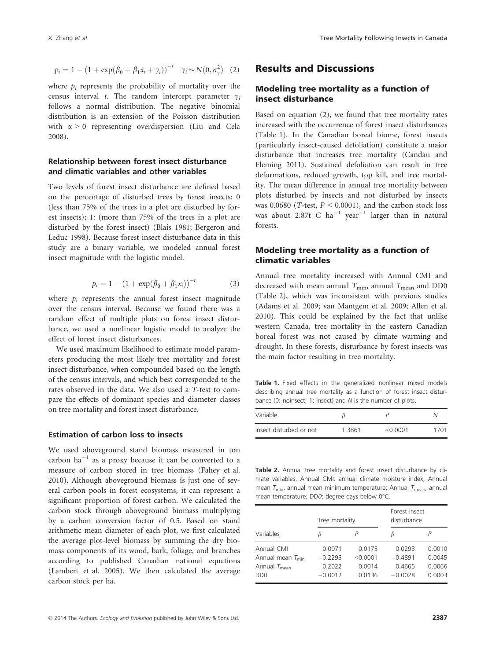$$
p_i = 1 - (1 + \exp(\beta_0 + \beta_1 x_i + \gamma_i))^{-t} \quad \gamma_i \sim N(0, \sigma_\gamma^2)
$$
 (2)

where  $p_i$  represents the probability of mortality over the census interval t. The random intercept parameter  $\gamma_i$ follows a normal distribution. The negative binomial distribution is an extension of the Poisson distribution with  $\alpha > 0$  representing overdispersion (Liu and Cela 2008).

#### Relationship between forest insect disturbance and climatic variables and other variables

Two levels of forest insect disturbance are defined based on the percentage of disturbed trees by forest insects: 0 (less than 75% of the trees in a plot are disturbed by forest insects); 1: (more than 75% of the trees in a plot are disturbed by the forest insect) (Blais 1981; Bergeron and Leduc 1998). Because forest insect disturbance data in this study are a binary variable, we modeled annual forest insect magnitude with the logistic model.

$$
p_i = 1 - (1 + \exp(\beta_0 + \beta_1 x_i))^{-t}
$$
 (3)

where  $p_i$  represents the annual forest insect magnitude over the census interval. Because we found there was a random effect of multiple plots on forest insect disturbance, we used a nonlinear logistic model to analyze the effect of forest insect disturbances.

We used maximum likelihood to estimate model parameters producing the most likely tree mortality and forest insect disturbance, when compounded based on the length of the census intervals, and which best corresponded to the rates observed in the data. We also used a T-test to compare the effects of dominant species and diameter classes on tree mortality and forest insect disturbance.

#### Estimation of carbon loss to insects

We used aboveground stand biomass measured in ton carbon  $ha^{-1}$  as a proxy because it can be converted to a measure of carbon stored in tree biomass (Fahey et al. 2010). Although aboveground biomass is just one of several carbon pools in forest ecosystems, it can represent a significant proportion of forest carbon. We calculated the carbon stock through aboveground biomass multiplying by a carbon conversion factor of 0.5. Based on stand arithmetic mean diameter of each plot, we first calculated the average plot-level biomass by summing the dry biomass components of its wood, bark, foliage, and branches according to published Canadian national equations (Lambert et al. 2005). We then calculated the average carbon stock per ha.

### Modeling tree mortality as a function of insect disturbance

Based on equation (2), we found that tree mortality rates increased with the occurrence of forest insect disturbances (Table 1). In the Canadian boreal biome, forest insects (particularly insect-caused defoliation) constitute a major disturbance that increases tree mortality (Candau and Fleming 2011). Sustained defoliation can result in tree deformations, reduced growth, top kill, and tree mortality. The mean difference in annual tree mortality between plots disturbed by insects and not disturbed by insects was 0.0680 (*T*-test,  $P < 0.0001$ ), and the carbon stock loss was about 2.87t C  $ha^{-1}$  year<sup>-1</sup> larger than in natural forests.

### Modeling tree mortality as a function of climatic variables

Annual tree mortality increased with Annual CMI and decreased with mean annual  $T_{\text{min}}$ , annual  $T_{\text{mean}}$  and DD0 (Table 2), which was inconsistent with previous studies (Adams et al. 2009; van Mantgem et al. 2009; Allen et al. 2010). This could be explained by the fact that unlike western Canada, tree mortality in the eastern Canadian boreal forest was not caused by climate warming and drought. In these forests, disturbance by forest insects was the main factor resulting in tree mortality.

Table 1. Fixed effects in the generalized nonlinear mixed models describing annual tree mortality as a function of forest insect disturbance (0: noinsect; 1: insect) and  $N$  is the number of plots.

| Variable                |        |           |      |
|-------------------------|--------|-----------|------|
| Insect disturbed or not | 1.3861 | $<$ 0.001 | 1701 |

Table 2. Annual tree mortality and forest insect disturbance by climate variables. Annual CMI: annual climate moisture index, Annual mean  $T_{\text{min}}$ , annual mean minimum temperature; Annual  $T_{\text{mean}}$ , annual mean temperature; DD0: degree days below 0°C.

|                              | Tree mortality |          | Forest insect<br>disturbance |        |
|------------------------------|----------------|----------|------------------------------|--------|
| Variables                    | ß              |          | В                            |        |
| Annual CMI                   | 0.0071         | 0.0175   | 0.0293                       | 0.0010 |
| Annual mean $T_{\text{min}}$ | $-0.2293$      | < 0.0001 | $-0.4891$                    | 0.0045 |
| Annual $T_{\text{mean}}$     | $-0.2022$      | 0.0014   | $-0.4665$                    | 0.0066 |
| D <sub>D</sub> <sub>0</sub>  | $-0.0012$      | 0.0136   | $-0.0028$                    | 0.0003 |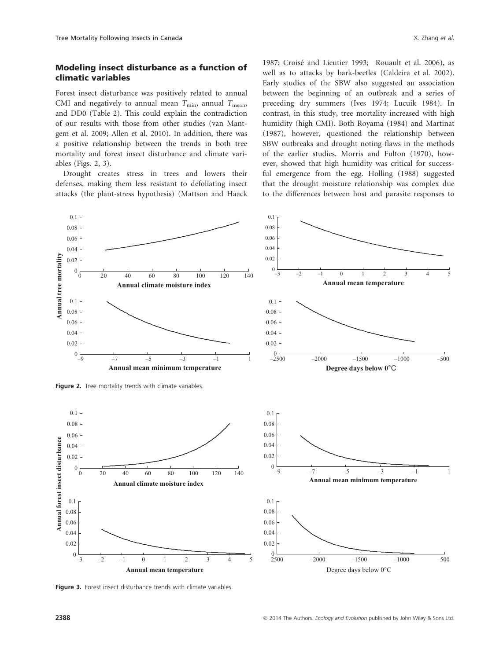Forest insect disturbance was positively related to annual CMI and negatively to annual mean  $T_{\text{min}}$ , annual  $T_{\text{mean}}$ , and DD0 (Table 2). This could explain the contradiction of our results with those from other studies (van Mantgem et al. 2009; Allen et al. 2010). In addition, there was a positive relationship between the trends in both tree mortality and forest insect disturbance and climate variables (Figs. 2, 3).

Drought creates stress in trees and lowers their defenses, making them less resistant to defoliating insect attacks (the plant-stress hypothesis) (Mattson and Haack

1987; Croise and Lieutier 1993; Rouault et al. 2006), as well as to attacks by bark-beetles (Caldeira et al. 2002). Early studies of the SBW also suggested an association between the beginning of an outbreak and a series of preceding dry summers (Ives 1974; Lucuik 1984). In contrast, in this study, tree mortality increased with high humidity (high CMI). Both Royama (1984) and Martinat (1987), however, questioned the relationship between SBW outbreaks and drought noting flaws in the methods of the earlier studies. Morris and Fulton (1970), however, showed that high humidity was critical for successful emergence from the egg. Holling (1988) suggested that the drought moisture relationship was complex due to the differences between host and parasite responses to



Figure 3. Forest insect disturbance trends with climate variables.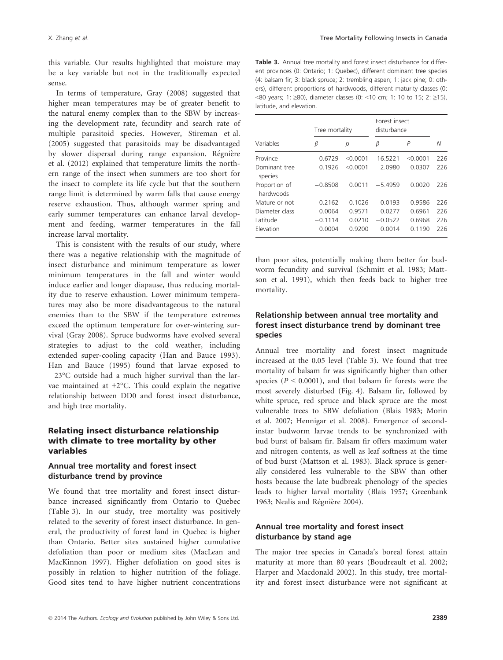this variable. Our results highlighted that moisture may be a key variable but not in the traditionally expected sense.

In terms of temperature, Gray (2008) suggested that higher mean temperatures may be of greater benefit to the natural enemy complex than to the SBW by increasing the development rate, fecundity and search rate of multiple parasitoid species. However, Stireman et al. (2005) suggested that parasitoids may be disadvantaged by slower dispersal during range expansion. Regniere et al. (2012) explained that temperature limits the northern range of the insect when summers are too short for the insect to complete its life cycle but that the southern range limit is determined by warm falls that cause energy reserve exhaustion. Thus, although warmer spring and early summer temperatures can enhance larval development and feeding, warmer temperatures in the fall increase larval mortality.

This is consistent with the results of our study, where there was a negative relationship with the magnitude of insect disturbance and minimum temperature as lower minimum temperatures in the fall and winter would induce earlier and longer diapause, thus reducing mortality due to reserve exhaustion. Lower minimum temperatures may also be more disadvantageous to the natural enemies than to the SBW if the temperature extremes exceed the optimum temperature for over-wintering survival (Gray 2008). Spruce budworms have evolved several strategies to adjust to the cold weather, including extended super-cooling capacity (Han and Bauce 1993). Han and Bauce (1995) found that larvae exposed to  $-23^{\circ}$ C outside had a much higher survival than the larvae maintained at +2°C. This could explain the negative relationship between DD0 and forest insect disturbance, and high tree mortality.

#### Relating insect disturbance relationship with climate to tree mortality by other variables

### Annual tree mortality and forest insect disturbance trend by province

We found that tree mortality and forest insect disturbance increased significantly from Ontario to Quebec (Table 3). In our study, tree mortality was positively related to the severity of forest insect disturbance. In general, the productivity of forest land in Quebec is higher than Ontario. Better sites sustained higher cumulative defoliation than poor or medium sites (MacLean and MacKinnon 1997). Higher defoliation on good sites is possibly in relation to higher nutrition of the foliage. Good sites tend to have higher nutrient concentrations

Table 3. Annual tree mortality and forest insect disturbance for different provinces (0: Ontario; 1: Quebec), different dominant tree species (4: balsam fir; 3: black spruce; 2: trembling aspen; 1: jack pine; 0: others), different proportions of hardwoods, different maturity classes (0: <80 years; 1: ≥80), diameter classes (0: <10 cm; 1: 10 to 15; 2: ≥15), latitude, and elevation.

|                            |           | Tree mortality |           | Forest insect<br>disturbance |     |
|----------------------------|-----------|----------------|-----------|------------------------------|-----|
| Variables                  | β         | р              | β         | P                            | Ν   |
| Province                   | 0.6729    | < 0.0001       | 16.5221   | < 0.0001                     | 226 |
| Dominant tree<br>species   | 0.1926    | < 0.0001       | 2.0980    | 0.0307                       | 226 |
| Proportion of<br>hardwoods | $-0.8508$ | 0.0011         | $-5.4959$ | 0.0020                       | 226 |
| Mature or not              | $-0.2162$ | 0.1026         | 0.0193    | 0.9586                       | 226 |
| Diameter class             | 0.0064    | 0.9571         | 0.0277    | 0.6961                       | 226 |
| Latitude                   | $-0.1114$ | 0.0210         | $-0.0522$ | 0.6968                       | 226 |
| Elevation                  | 0.0004    | 0.9200         | 0.0014    | 0.1190                       | 226 |

than poor sites, potentially making them better for budworm fecundity and survival (Schmitt et al. 1983; Mattson et al. 1991), which then feeds back to higher tree mortality.

### Relationship between annual tree mortality and forest insect disturbance trend by dominant tree species

Annual tree mortality and forest insect magnitude increased at the 0.05 level (Table 3). We found that tree mortality of balsam fir was significantly higher than other species ( $P \le 0.0001$ ), and that balsam fir forests were the most severely disturbed (Fig. 4). Balsam fir, followed by white spruce, red spruce and black spruce are the most vulnerable trees to SBW defoliation (Blais 1983; Morin et al. 2007; Hennigar et al. 2008). Emergence of secondinstar budworm larvae trends to be synchronized with bud burst of balsam fir. Balsam fir offers maximum water and nitrogen contents, as well as leaf softness at the time of bud burst (Mattson et al. 1983). Black spruce is generally considered less vulnerable to the SBW than other hosts because the late budbreak phenology of the species leads to higher larval mortality (Blais 1957; Greenbank 1963; Nealis and Regniere 2004).

#### Annual tree mortality and forest insect disturbance by stand age

The major tree species in Canada's boreal forest attain maturity at more than 80 years (Boudreault et al. 2002; Harper and Macdonald 2002). In this study, tree mortality and forest insect disturbance were not significant at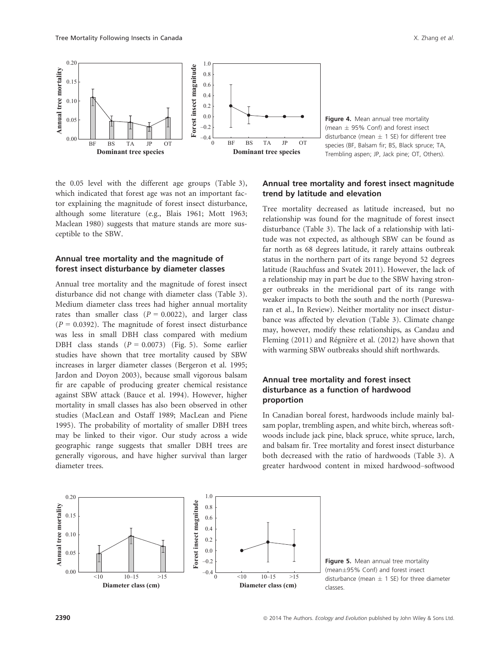

Figure 4. Mean annual tree mortality (mean  $\pm$  95% Conf) and forest insect disturbance (mean  $\pm$  1 SE) for different tree species (BF, Balsam fir; BS, Black spruce; TA, Trembling aspen; JP, Jack pine; OT, Others).

the 0.05 level with the different age groups (Table 3), which indicated that forest age was not an important factor explaining the magnitude of forest insect disturbance, although some literature (e.g., Blais 1961; Mott 1963; Maclean 1980) suggests that mature stands are more susceptible to the SBW.

### Annual tree mortality and the magnitude of forest insect disturbance by diameter classes

Annual tree mortality and the magnitude of forest insect disturbance did not change with diameter class (Table 3). Medium diameter class trees had higher annual mortality rates than smaller class  $(P = 0.0022)$ , and larger class  $(P = 0.0392)$ . The magnitude of forest insect disturbance was less in small DBH class compared with medium DBH class stands  $(P = 0.0073)$  (Fig. 5). Some earlier studies have shown that tree mortality caused by SBW increases in larger diameter classes (Bergeron et al. 1995; Jardon and Doyon 2003), because small vigorous balsam fir are capable of producing greater chemical resistance against SBW attack (Bauce et al. 1994). However, higher mortality in small classes has also been observed in other studies (MacLean and Ostaff 1989; MacLean and Piene 1995). The probability of mortality of smaller DBH trees may be linked to their vigor. Our study across a wide geographic range suggests that smaller DBH trees are generally vigorous, and have higher survival than larger diameter trees.

### Annual tree mortality and forest insect magnitude trend by latitude and elevation

Tree mortality decreased as latitude increased, but no relationship was found for the magnitude of forest insect disturbance (Table 3). The lack of a relationship with latitude was not expected, as although SBW can be found as far north as 68 degrees latitude, it rarely attains outbreak status in the northern part of its range beyond 52 degrees latitude (Rauchfuss and Svatek 2011). However, the lack of a relationship may in part be due to the SBW having stronger outbreaks in the meridional part of its range with weaker impacts to both the south and the north (Pureswaran et al., In Review). Neither mortality nor insect disturbance was affected by elevation (Table 3). Climate change may, however, modify these relationships, as Candau and Fleming (2011) and Régnière et al. (2012) have shown that with warming SBW outbreaks should shift northwards.

### Annual tree mortality and forest insect disturbance as a function of hardwood proportion

In Canadian boreal forest, hardwoods include mainly balsam poplar, trembling aspen, and white birch, whereas softwoods include jack pine, black spruce, white spruce, larch, and balsam fir. Tree mortality and forest insect disturbance both decreased with the ratio of hardwoods (Table 3). A greater hardwood content in mixed hardwood–softwood



Figure 5. Mean annual tree mortality (mean±95% Conf) and forest insect disturbance (mean  $\pm$  1 SE) for three diameter classes.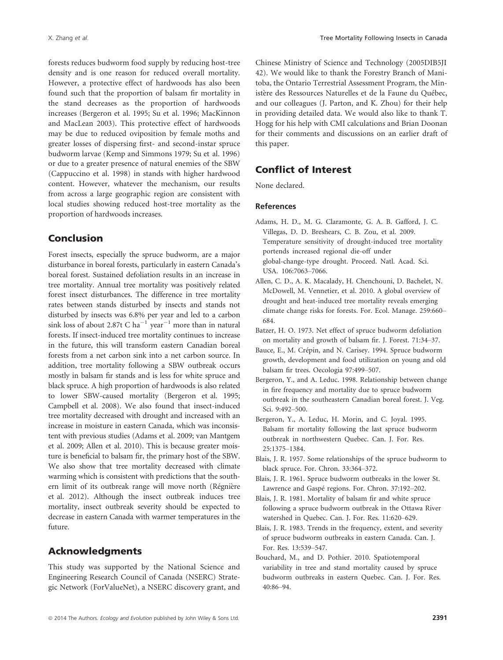forests reduces budworm food supply by reducing host-tree density and is one reason for reduced overall mortality. However, a protective effect of hardwoods has also been found such that the proportion of balsam fir mortality in the stand decreases as the proportion of hardwoods increases (Bergeron et al. 1995; Su et al. 1996; MacKinnon and MacLean 2003). This protective effect of hardwoods may be due to reduced oviposition by female moths and greater losses of dispersing first- and second-instar spruce budworm larvae (Kemp and Simmons 1979; Su et al. 1996) or due to a greater presence of natural enemies of the SBW (Cappuccino et al. 1998) in stands with higher hardwood content. However, whatever the mechanism, our results from across a large geographic region are consistent with local studies showing reduced host-tree mortality as the proportion of hardwoods increases.

## Conclusion

Forest insects, especially the spruce budworm, are a major disturbance in boreal forests, particularly in eastern Canada's boreal forest. Sustained defoliation results in an increase in tree mortality. Annual tree mortality was positively related forest insect disturbances. The difference in tree mortality rates between stands disturbed by insects and stands not disturbed by insects was 6.8% per year and led to a carbon sink loss of about 2.87t C ha<sup>-1</sup> year<sup>-1</sup> more than in natural forests. If insect-induced tree mortality continues to increase in the future, this will transform eastern Canadian boreal forests from a net carbon sink into a net carbon source. In addition, tree mortality following a SBW outbreak occurs mostly in balsam fir stands and is less for white spruce and black spruce. A high proportion of hardwoods is also related to lower SBW-caused mortality (Bergeron et al. 1995; Campbell et al. 2008). We also found that insect-induced tree mortality decreased with drought and increased with an increase in moisture in eastern Canada, which was inconsistent with previous studies (Adams et al. 2009; van Mantgem et al. 2009; Allen et al. 2010). This is because greater moisture is beneficial to balsam fir, the primary host of the SBW. We also show that tree mortality decreased with climate warming which is consistent with predictions that the southern limit of its outbreak range will move north (Regniere et al. 2012). Although the insect outbreak induces tree mortality, insect outbreak severity should be expected to decrease in eastern Canada with warmer temperatures in the future.

### Acknowledgments

This study was supported by the National Science and Engineering Research Council of Canada (NSERC) Strategic Network (ForValueNet), a NSERC discovery grant, and Chinese Ministry of Science and Technology (2005DIB5JI 42). We would like to thank the Forestry Branch of Manitoba, the Ontario Terrestrial Assessment Program, the Ministère des Ressources Naturelles et de la Faune du Québec, and our colleagues (J. Parton, and K. Zhou) for their help in providing detailed data. We would also like to thank T. Hogg for his help with CMI calculations and Brian Doonan for their comments and discussions on an earlier draft of this paper.

# Conflict of Interest

None declared.

#### References

- Adams, H. D., M. G. Claramonte, G. A. B. Gafford, J. C. Villegas, D. D. Breshears, C. B. Zou, et al. 2009. Temperature sensitivity of drought-induced tree mortality portends increased regional die-off under global-change-type drought. Proceed. Natl. Acad. Sci. USA. 106:7063–7066.
- Allen, C. D., A. K. Macalady, H. Chenchouni, D. Bachelet, N. McDowell, M. Vennetier, et al. 2010. A global overview of drought and heat-induced tree mortality reveals emerging climate change risks for forests. For. Ecol. Manage. 259:660– 684.
- Batzer, H. O. 1973. Net effect of spruce budworm defoliation on mortality and growth of balsam fir. J. Forest. 71:34–37.
- Bauce, E., M. Crépin, and N. Carisey. 1994. Spruce budworm growth, development and food utilization on young and old balsam fir trees. Oecologia 97:499–507.
- Bergeron, Y., and A. Leduc. 1998. Relationship between change in fire frequency and mortality due to spruce budworm outbreak in the southeastern Canadian boreal forest. J. Veg. Sci. 9:492–500.
- Bergeron, Y., A. Leduc, H. Morin, and C. Joyal. 1995. Balsam fir mortality following the last spruce budworm outbreak in northwestern Quebec. Can. J. For. Res. 25:1375–1384.
- Blais, J. R. 1957. Some relationships of the spruce budworm to black spruce. For. Chron. 33:364–372.
- Blais, J. R. 1961. Spruce budworm outbreaks in the lower St. Lawrence and Gaspé regions. For. Chron. 37:192-202.
- Blais, J. R. 1981. Mortality of balsam fir and white spruce following a spruce budworm outbreak in the Ottawa River watershed in Quebec. Can. J. For. Res. 11:620–629.
- Blais, J. R. 1983. Trends in the frequency, extent, and severity of spruce budworm outbreaks in eastern Canada. Can. J. For. Res. 13:539–547.
- Bouchard, M., and D. Pothier. 2010. Spatiotemporal variability in tree and stand mortality caused by spruce budworm outbreaks in eastern Quebec. Can. J. For. Res. 40:86–94.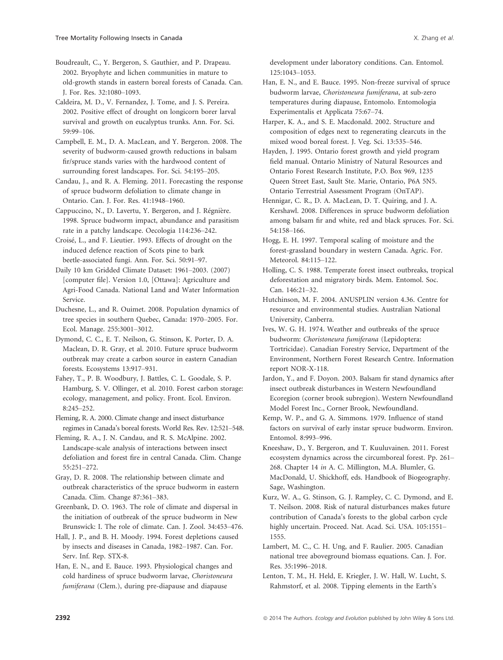Boudreault, C., Y. Bergeron, S. Gauthier, and P. Drapeau. 2002. Bryophyte and lichen communities in mature to old-growth stands in eastern boreal forests of Canada. Can. J. For. Res. 32:1080–1093.

Caldeira, M. D., V. Fernandez, J. Tome, and J. S. Pereira. 2002. Positive effect of drought on longicorn borer larval survival and growth on eucalyptus trunks. Ann. For. Sci. 59:99–106.

Campbell, E. M., D. A. MacLean, and Y. Bergeron. 2008. The severity of budworm-caused growth reductions in balsam fir/spruce stands varies with the hardwood content of surrounding forest landscapes. For. Sci. 54:195–205.

Candau, J., and R. A. Fleming. 2011. Forecasting the response of spruce budworm defoliation to climate change in Ontario. Can. J. For. Res. 41:1948–1960.

Cappuccino, N., D. Lavertu, Y. Bergeron, and J. Régnière. 1998. Spruce budworm impact, abundance and parasitism rate in a patchy landscape. Oecologia 114:236–242.

Croise, L., and F. Lieutier. 1993. Effects of drought on the induced defence reaction of Scots pine to bark beetle-associated fungi. Ann. For. Sci. 50:91–97.

Daily 10 km Gridded Climate Dataset: 1961–2003. (2007) [computer file]. Version 1.0, [Ottawa]: Agriculture and Agri-Food Canada. National Land and Water Information Service.

Duchesne, L., and R. Ouimet. 2008. Population dynamics of tree species in southern Quebec, Canada: 1970–2005. For. Ecol. Manage. 255:3001–3012.

Dymond, C. C., E. T. Neilson, G. Stinson, K. Porter, D. A. Maclean, D. R. Gray, et al. 2010. Future spruce budworm outbreak may create a carbon source in eastern Canadian forests. Ecosystems 13:917–931.

Fahey, T., P. B. Woodbury, J. Battles, C. L. Goodale, S. P. Hamburg, S. V. Ollinger, et al. 2010. Forest carbon storage: ecology, management, and policy. Front. Ecol. Environ. 8:245–252.

Fleming, R. A. 2000. Climate change and insect disturbance regimes in Canada's boreal forests. World Res. Rev. 12:521–548.

Fleming, R. A., J. N. Candau, and R. S. McAlpine. 2002. Landscape-scale analysis of interactions between insect defoliation and forest fire in central Canada. Clim. Change 55:251–272.

Gray, D. R. 2008. The relationship between climate and outbreak characteristics of the spruce budworm in eastern Canada. Clim. Change 87:361–383.

Greenbank, D. O. 1963. The role of climate and dispersal in the initiation of outbreak of the spruce budworm in New Brunswick: I. The role of climate. Can. J. Zool. 34:453–476.

Hall, J. P., and B. H. Moody. 1994. Forest depletions caused by insects and diseases in Canada, 1982–1987. Can. For. Serv. Inf. Rep. STX-8.

Han, E. N., and E. Bauce. 1993. Physiological changes and cold hardiness of spruce budworm larvae, Choristoneura fumiferana (Clem.), during pre-diapause and diapause

development under laboratory conditions. Can. Entomol. 125:1043–1053.

- Han, E. N., and E. Bauce. 1995. Non-freeze survival of spruce budworm larvae, Choristoneura fumiferana, at sub-zero temperatures during diapause, Entomolo. Entomologia Experimentalis et Applicata 75:67–74.
- Harper, K. A., and S. E. Macdonald. 2002. Structure and composition of edges next to regenerating clearcuts in the mixed wood boreal forest. J. Veg. Sci. 13:535–546.

Hayden, J. 1995. Ontario forest growth and yield program field manual. Ontario Ministry of Natural Resources and Ontario Forest Research Institute, P.O. Box 969, 1235 Queen Street East, Sault Ste. Marie, Ontario, P6A 5N5. Ontario Terrestrial Assessment Program (OnTAP).

Hennigar, C. R., D. A. MacLean, D. T. Quiring, and J. A. Kershawl. 2008. Differences in spruce budworm defoliation among balsam fir and white, red and black spruces. For. Sci. 54:158–166.

Hogg, E. H. 1997. Temporal scaling of moisture and the forest-grassland boundary in western Canada. Agric. For. Meteorol. 84:115–122.

Holling, C. S. 1988. Temperate forest insect outbreaks, tropical deforestation and migratory birds. Mem. Entomol. Soc. Can. 146:21–32.

Hutchinson, M. F. 2004. ANUSPLIN version 4.36. Centre for resource and environmental studies. Australian National University, Canberra.

Ives, W. G. H. 1974. Weather and outbreaks of the spruce budworm: Choristoneura fumiferana (Lepidoptera: Tortricidae). Canadian Forestry Service, Department of the Environment, Northern Forest Research Centre. Information report NOR-X-118.

Jardon, Y., and F. Doyon. 2003. Balsam fir stand dynamics after insect outbreak disturbances in Western Newfoundland Ecoregion (corner brook subregion). Western Newfoundland Model Forest Inc., Corner Brook, Newfoundland.

Kemp, W. P., and G. A. Simmons. 1979. Influence of stand factors on survival of early instar spruce budworm. Environ. Entomol. 8:993–996.

Kneeshaw, D., Y. Bergeron, and T. Kuuluvainen. 2011. Forest ecosystem dynamics across the circumboreal forest. Pp. 261– 268. Chapter 14 in A. C. Millington, M.A. Blumler, G. MacDonald, U. Shickhoff, eds. Handbook of Biogeography. Sage, Washington.

Kurz, W. A., G. Stinson, G. J. Rampley, C. C. Dymond, and E. T. Neilson. 2008. Risk of natural disturbances makes future contribution of Canada's forests to the global carbon cycle highly uncertain. Proceed. Nat. Acad. Sci. USA. 105:1551– 1555.

Lambert, M. C., C. H. Ung, and F. Raulier. 2005. Canadian national tree aboveground biomass equations. Can. J. For. Res. 35:1996–2018.

Lenton, T. M., H. Held, E. Kriegler, J. W. Hall, W. Lucht, S. Rahmstorf, et al. 2008. Tipping elements in the Earth's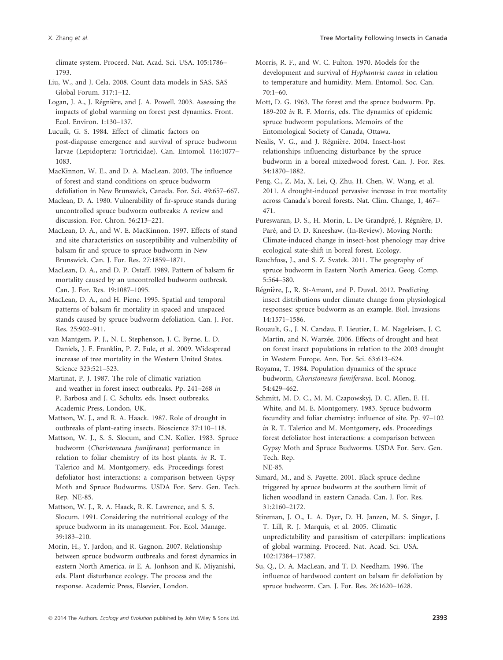climate system. Proceed. Nat. Acad. Sci. USA. 105:1786– 1793.

Liu, W., and J. Cela. 2008. Count data models in SAS. SAS Global Forum. 317:1–12.

Logan, J. A., J. Regniere, and J. A. Powell. 2003. Assessing the impacts of global warming on forest pest dynamics. Front. Ecol. Environ. 1:130–137.

Lucuik, G. S. 1984. Effect of climatic factors on post-diapause emergence and survival of spruce budworm larvae (Lepidoptera: Tortricidae). Can. Entomol. 116:1077– 1083.

MacKinnon, W. E., and D. A. MacLean. 2003. The influence of forest and stand conditions on spruce budworm defoliation in New Brunswick, Canada. For. Sci. 49:657–667.

Maclean, D. A. 1980. Vulnerability of fir-spruce stands during uncontrolled spruce budworm outbreaks: A review and discussion. For. Chron. 56:213–221.

MacLean, D. A., and W. E. MacKinnon. 1997. Effects of stand and site characteristics on susceptibility and vulnerability of balsam fir and spruce to spruce budworm in New Brunswick. Can. J. For. Res. 27:1859–1871.

MacLean, D. A., and D. P. Ostaff. 1989. Pattern of balsam fir mortality caused by an uncontrolled budworm outbreak. Can. J. For. Res. 19:1087–1095.

MacLean, D. A., and H. Piene. 1995. Spatial and temporal patterns of balsam fir mortality in spaced and unspaced stands caused by spruce budworm defoliation. Can. J. For. Res. 25:902–911.

van Mantgem, P. J., N. L. Stephenson, J. C. Byrne, L. D. Daniels, J. F. Franklin, P. Z. Fule, et al. 2009. Widespread increase of tree mortality in the Western United States. Science 323:521–523.

Martinat, P. J. 1987. The role of climatic variation and weather in forest insect outbreaks. Pp. 241–268 in P. Barbosa and J. C. Schultz, eds. Insect outbreaks. Academic Press, London, UK.

Mattson, W. J., and R. A. Haack. 1987. Role of drought in outbreaks of plant-eating insects. Bioscience 37:110–118.

Mattson, W. J., S. S. Slocum, and C.N. Koller. 1983. Spruce budworm (Choristoneura fumiferana) performance in relation to foliar chemistry of its host plants. in R. T. Talerico and M. Montgomery, eds. Proceedings forest defoliator host interactions: a comparison between Gypsy Moth and Spruce Budworms. USDA For. Serv. Gen. Tech. Rep. NE-85.

Mattson, W. J., R. A. Haack, R. K. Lawrence, and S. S. Slocum. 1991. Considering the nutritional ecology of the spruce budworm in its management. For. Ecol. Manage. 39:183–210.

Morin, H., Y. Jardon, and R. Gagnon. 2007. Relationship between spruce budworm outbreaks and forest dynamics in eastern North America. in E. A. Jonhson and K. Miyanishi, eds. Plant disturbance ecology. The process and the response. Academic Press, Elsevier, London.

Morris, R. F., and W. C. Fulton. 1970. Models for the development and survival of Hyphantria cunea in relation to temperature and humidity. Mem. Entomol. Soc. Can. 70:1–60.

Mott, D. G. 1963. The forest and the spruce budworm. Pp. 189-202 in R. F. Morris, eds. The dynamics of epidemic spruce budworm populations. Memoirs of the Entomological Society of Canada, Ottawa.

Nealis, V. G., and J. Régnière. 2004. Insect-host relationships influencing disturbance by the spruce budworm in a boreal mixedwood forest. Can. J. For. Res. 34:1870–1882.

Peng, C., Z. Ma, X. Lei, Q. Zhu, H. Chen, W. Wang, et al. 2011. A drought-induced pervasive increase in tree mortality across Canada's boreal forests. Nat. Clim. Change, 1, 467– 471.

Pureswaran, D. S., H. Morin, L. De Grandpré, J. Régnière, D. Paré, and D. D. Kneeshaw. (In-Review). Moving North: Climate-induced change in insect-host phenology may drive ecological state-shift in boreal forest. Ecology.

Rauchfuss, J., and S. Z. Svatek. 2011. The geography of spruce budworm in Eastern North America. Geog. Comp. 5:564–580.

Regniere, J., R. St-Amant, and P. Duval. 2012. Predicting insect distributions under climate change from physiological responses: spruce budworm as an example. Biol. Invasions 14:1571–1586.

Rouault, G., J. N. Candau, F. Lieutier, L. M. Nageleisen, J. C. Martin, and N. Warzée. 2006. Effects of drought and heat on forest insect populations in relation to the 2003 drought in Western Europe. Ann. For. Sci. 63:613–624.

Schmitt, M. D. C., M. M. Czapowskyj, D. C. Allen, E. H. White, and M. E. Montgomery. 1983. Spruce budworm fecundity and foliar chemistry: influence of site. Pp. 97–102 in R. T. Talerico and M. Montgomery, eds. Proceedings forest defoliator host interactions: a comparison between Gypsy Moth and Spruce Budworms. USDA For. Serv. Gen. Tech. Rep.

NE-85.

Simard, M., and S. Payette. 2001. Black spruce decline triggered by spruce budworm at the southern limit of lichen woodland in eastern Canada. Can. J. For. Res. 31:2160–2172.

Stireman, J. O., L. A. Dyer, D. H. Janzen, M. S. Singer, J. T. Lill, R. J. Marquis, et al. 2005. Climatic unpredictability and parasitism of caterpillars: implications of global warming. Proceed. Nat. Acad. Sci. USA. 102:17384–17387.

Su, Q., D. A. MacLean, and T. D. Needham. 1996. The influence of hardwood content on balsam fir defoliation by spruce budworm. Can. J. For. Res. 26:1620–1628.

Royama, T. 1984. Population dynamics of the spruce budworm, Choristoneura fumiferana. Ecol. Monog. 54:429–462.